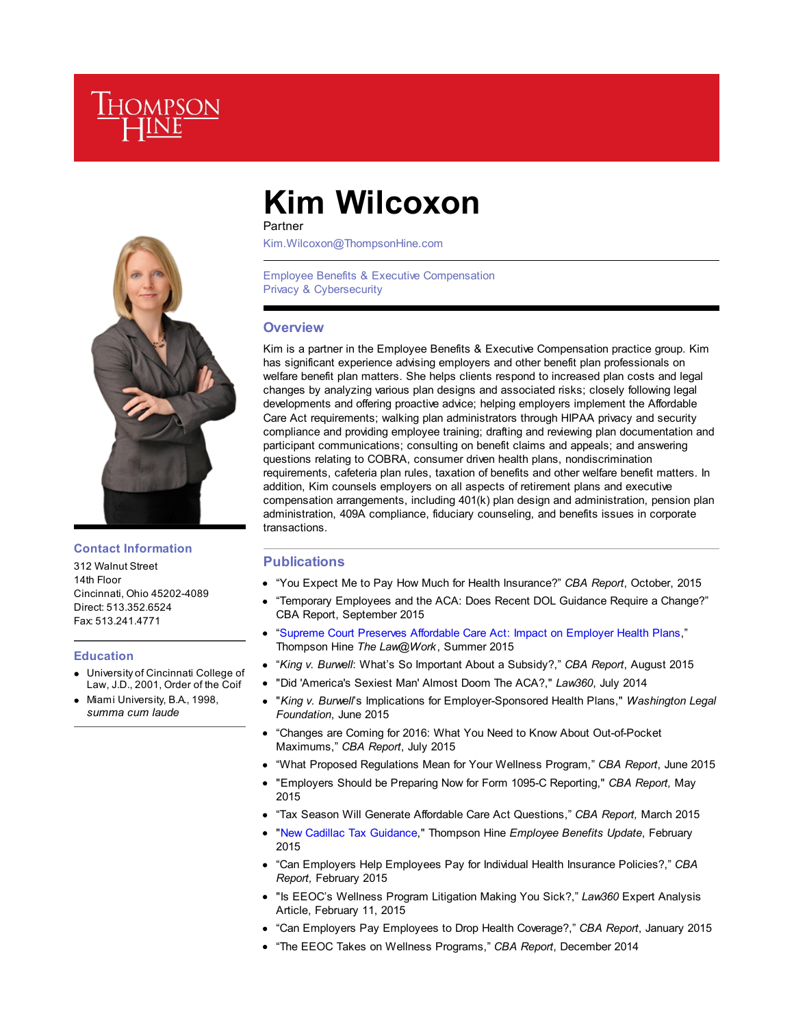



## **Contact Information**

312 Walnut Street 14th Floor Cincinnati, Ohio 45202-4089 Direct: 513.352.6524 Fax: 513.241.4771

#### **Education**

- University of Cincinnati College of Law, J.D., 2001, Order of the Coif
- Miami University, B.A., 1998, *summa cum laude*

# **Kim Wilcoxon**

Partner

Kim.Wilcoxon@ThompsonHine.com

Employee Benefits & Executive Compensation Privacy & Cybersecurity

# **Overview**

Kim is a partner in the Employee Benefits & Executive Compensation practice group. Kim has significant experience advising employers and other benefit plan professionals on welfare benefit plan matters. She helps clients respond to increased plan costs and legal changes by analyzing various plan designs and associated risks; closely following legal developments and offering proactive advice; helping employers implement the Affordable Care Act requirements; walking plan administrators through HIPAA privacy and security compliance and providing employee training; drafting and reviewing plan documentation and participant communications; consulting on benefit claims and appeals; and answering questions relating to COBRA, consumer driven health plans, nondiscrimination requirements, cafeteria plan rules, taxation of benefits and other welfare benefit matters. In addition, Kim counsels employers on all aspects of retirement plans and executive compensation arrangements, including 401(k) plan design and administration, pension plan administration, 409A compliance, fiduciary counseling, and benefits issues in corporate transactions.

#### **Publications**

- "You Expect Me to Pay How Much for Health Insurance?" *CBA Report*, October, 2015
- "Temporary Employees and the ACA: Does Recent DOL Guidance Require a Change?" CBA Report, September 2015
- "Supreme Court Preserves Affordable Care Act: Impact on Employer Health Plans," Thompson Hine *The Law@Work*, Summer 2015
- "*King v. Burwell*: What's So Important About a Subsidy?," *CBA Report*, August 2015
- "Did 'America's Sexiest Man' Almost Doom The ACA?," *Law360*, July 2014
- "*King v. Burwell*'s Implications for Employer-Sponsored Health Plans," *Washington Legal Foundation*, June 2015
- "Changes are Coming for 2016: What You Need to Know About Out-of-Pocket Maximums," *CBA Report*, July 2015
- "What Proposed Regulations Mean for Your Wellness Program," *CBA Report*, June 2015
- "Employers Should be Preparing Now for Form 1095-C Reporting," *CBA Report,* May 2015
- "Tax Season Will Generate Affordable Care Act Questions," *CBA Report,* March 2015
- "New Cadillac Tax Guidance," Thompson Hine *Employee Benefits Update*, February 2015
- "Can Employers Help Employees Pay for Individual Health Insurance Policies?," *CBA Report,* February 2015
- "Is EEOC's Wellness Program Litigation Making You Sick?," *Law360* Expert Analysis Article, February 11, 2015
- "Can Employers Pay Employees to Drop Health Coverage?," *CBA Report*, January 2015
- "The EEOC Takes on Wellness Programs," *CBA Report*, December 2014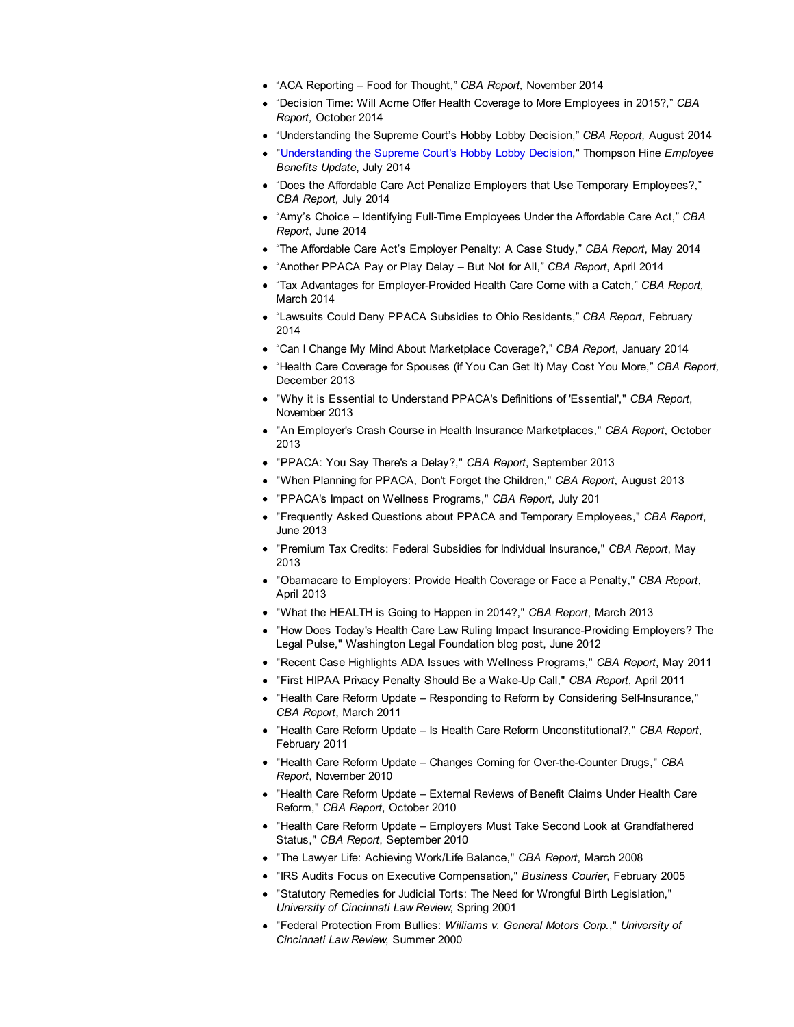- "ACA Reporting Food for Thought," *CBA Report,* November 2014
- "Decision Time: Will Acme Offer Health Coverage to More Employees in 2015?," *CBA Report,* October 2014
- "Understanding the Supreme Court's Hobby Lobby Decision," *CBA Report,* August 2014
- "Understanding the Supreme Court's Hobby Lobby Decision," Thompson Hine *Employee Benefits Update*, July 2014
- "Does the Affordable Care Act Penalize Employers that Use Temporary Employees?," *CBA Report,* July 2014
- "Amy's Choice Identifying Full-Time Employees Under the Affordable Care Act," *CBA Report*, June 2014
- "The Affordable Care Act's Employer Penalty: A Case Study," *CBA Report*, May 2014
- "Another PPACA Pay or Play Delay But Not for All," *CBA Report*, April 2014
- "Tax Advantages for Employer-Provided Health Care Come with a Catch," *CBA Report,* March 2014
- "Lawsuits Could Deny PPACA Subsidies to Ohio Residents," *CBA Report*, February 2014
- "Can I Change My Mind About Marketplace Coverage?," *CBA Report*, January 2014
- "Health Care Coverage for Spouses (if You Can Get It) May Cost You More," *CBA Report,* December 2013
- "Why it is Essential to Understand PPACA's Definitions of 'Essential'," *CBA Report*, November 2013
- "An Employer's Crash Course in Health Insurance Marketplaces," *CBA Report*, October 2013
- "PPACA: You Say There's a Delay?," *CBA Report*, September 2013
- "When Planning for PPACA, Don't Forget the Children," *CBA Report*, August 2013
- "PPACA's Impact on Wellness Programs," *CBA Report*, July 201
- "Frequently Asked Questions about PPACA and Temporary Employees," *CBA Report*, June 2013
- "Premium Tax Credits: Federal Subsidies for Individual Insurance," *CBA Report*, May 2013
- "Obamacare to Employers: Provide Health Coverage or Face a Penalty," *CBA Report*, April 2013
- "What the HEALTH is Going to Happen in 2014?," *CBA Report*, March 2013
- "How Does Today's Health Care Law Ruling Impact Insurance-Providing Employers? The Legal Pulse," Washington Legal Foundation blog post, June 2012
- "Recent Case Highlights ADA Issues with Wellness Programs," *CBA Report*, May 2011
- "First HIPAA Privacy Penalty Should Be a Wake-Up Call," *CBA Report*, April 2011
- "Health Care Reform Update Responding to Reform by Considering Self-Insurance," *CBA Report*, March 2011
- "Health Care Reform Update Is Health Care Reform Unconstitutional?," *CBA Report*, February 2011
- "Health Care Reform Update Changes Coming for Over-the-Counter Drugs," *CBA Report*, November 2010
- "Health Care Reform Update External Reviews of Benefit Claims Under Health Care Reform," *CBA Report*, October 2010
- "Health Care Reform Update Employers Must Take Second Look at Grandfathered Status," *CBA Report*, September 2010
- "The Lawyer Life: Achieving Work/Life Balance," *CBA Report*, March 2008
- "IRS Audits Focus on Executive Compensation," *Business Courier*, February 2005
- "Statutory Remedies for Judicial Torts: The Need for Wrongful Birth Legislation," *University of Cincinnati Law Review*, Spring 2001
- "Federal Protection From Bullies: *Williams v. General Motors Corp.*," *University of Cincinnati Law Review*, Summer 2000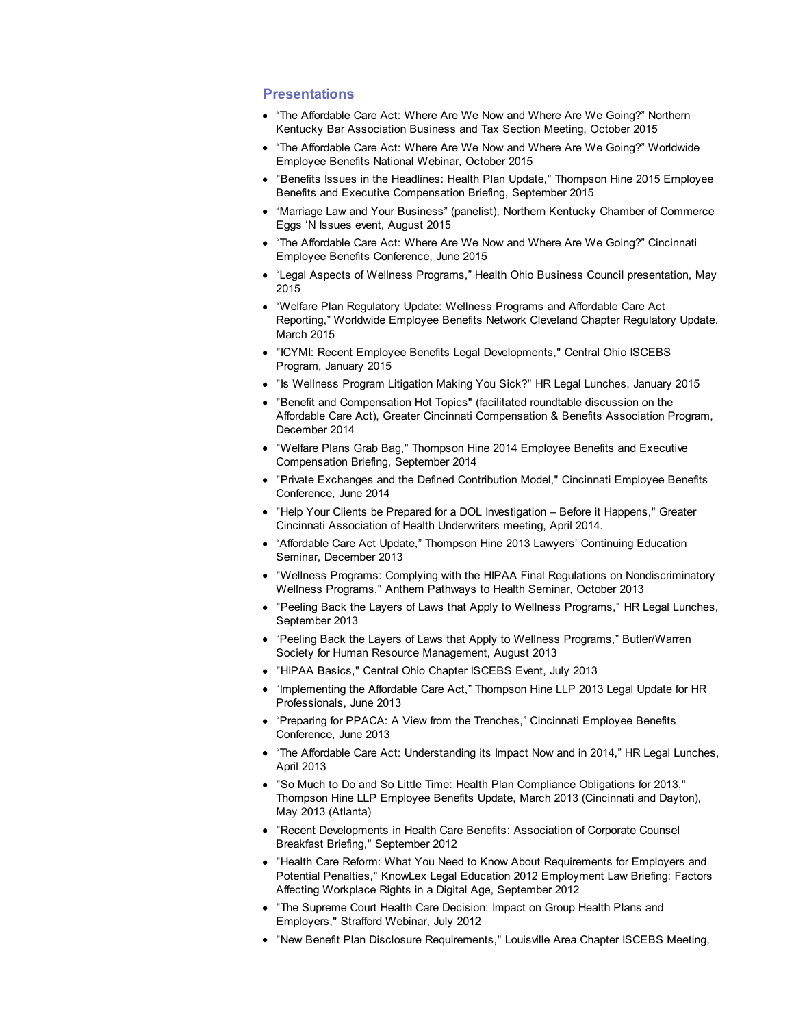## **Presentations**

- "The Affordable Care Act: Where Are We Now and Where Are We Going?" Northern Kentucky Bar Association Business and Tax Section Meeting, October 2015
- "The Affordable Care Act: Where Are We Now and Where Are We Going?" Worldwide Employee Benefits National Webinar, October 2015
- "Benefits Issues in the Headlines: Health Plan Update," Thompson Hine 2015 Employee Benefits and Executive Compensation Briefing, September 2015
- "Marriage Law and Your Business" (panelist), Northern Kentucky Chamber of Commerce Eggs 'N Issues event, August 2015
- "The Affordable Care Act: Where Are We Now and Where Are We Going?" Cincinnati Employee Benefits Conference, June 2015
- "Legal Aspects of Wellness Programs," Health Ohio Business Council presentation, May 2015
- "Welfare Plan Regulatory Update: Wellness Programs and Affordable Care Act Reporting," Worldwide Employee Benefits Network Cleveland Chapter Regulatory Update, March 2015
- "ICYMI: Recent Employee Benefits Legal Developments," Central Ohio ISCEBS Program, January 2015
- "Is Wellness Program Litigation Making You Sick?" HR Legal Lunches, January 2015
- "Benefit and Compensation Hot Topics" (facilitated roundtable discussion on the Affordable Care Act), Greater Cincinnati Compensation & Benefits Association Program, December 2014
- "Welfare Plans Grab Bag," Thompson Hine 2014 Employee Benefits and Executive Compensation Briefing, September 2014
- "Private Exchanges and the Defined Contribution Model," Cincinnati Employee Benefits Conference, June 2014
- "Help Your Clients be Prepared for a DOL Investigation Before it Happens," Greater Cincinnati Association of Health Underwriters meeting, April 2014.
- "Affordable Care Act Update," Thompson Hine 2013 Lawyers' Continuing Education Seminar, December 2013
- "Wellness Programs: Complying with the HIPAA Final Regulations on Nondiscriminatory Wellness Programs," Anthem Pathways to Health Seminar, October 2013
- "Peeling Back the Layers of Laws that Apply to Wellness Programs," HR Legal Lunches, September 2013
- "Peeling Back the Layers of Laws that Apply to Wellness Programs," Butler/Warren Society for Human Resource Management, August 2013
- "HIPAA Basics," Central Ohio Chapter ISCEBS Event, July 2013
- "Implementing the Affordable Care Act," Thompson Hine LLP 2013 Legal Update for HR Professionals, June 2013
- "Preparing for PPACA: A View from the Trenches," Cincinnati Employee Benefits Conference, June 2013
- "The Affordable Care Act: Understanding its Impact Now and in 2014," HR Legal Lunches, April 2013
- "So Much to Do and So Little Time: Health Plan Compliance Obligations for 2013," Thompson Hine LLP Employee Benefits Update, March 2013 (Cincinnati and Dayton), May 2013 (Atlanta)
- "Recent Developments in Health Care Benefits: Association of Corporate Counsel Breakfast Briefing," September 2012
- "Health Care Reform: What You Need to Know About Requirements for Employers and Potential Penalties," KnowLex Legal Education 2012 Employment Law Briefing: Factors Affecting Workplace Rights in a Digital Age, September 2012
- "The Supreme Court Health Care Decision: Impact on Group Health Plans and Employers," Strafford Webinar, July 2012
- "New Benefit Plan Disclosure Requirements," Louisville Area Chapter ISCEBS Meeting,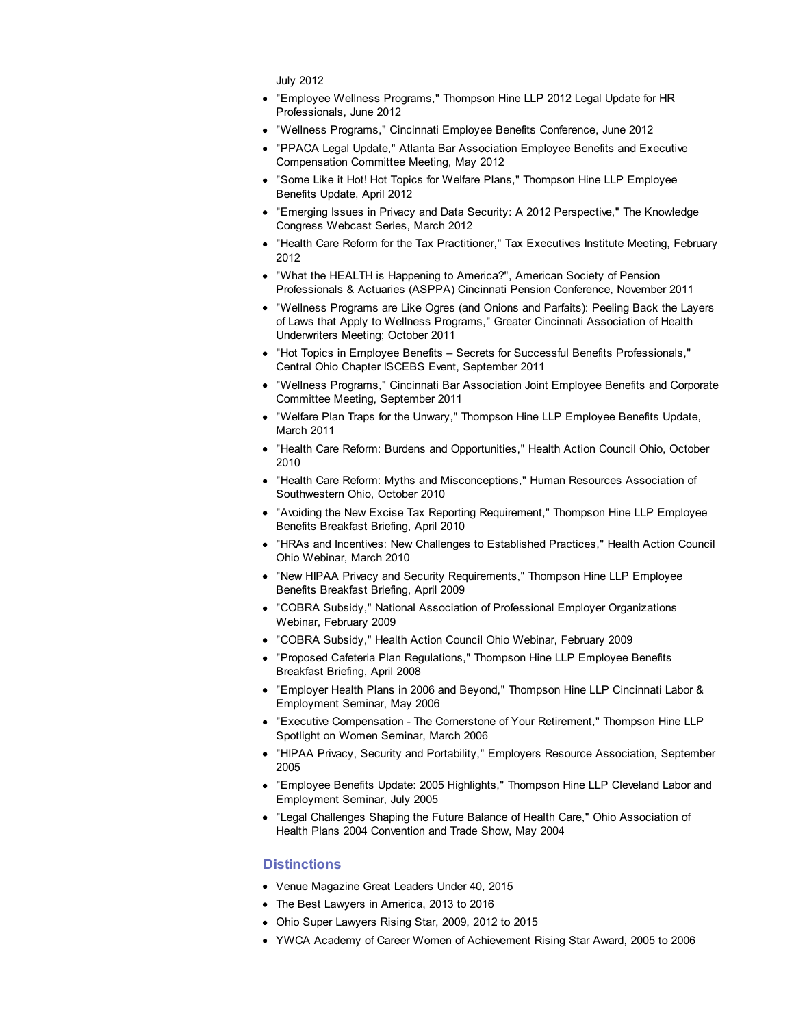July 2012

- "Employee Wellness Programs," Thompson Hine LLP 2012 Legal Update for HR Professionals, June 2012
- "Wellness Programs," Cincinnati Employee Benefits Conference, June 2012
- "PPACA Legal Update," Atlanta Bar Association Employee Benefits and Executive Compensation Committee Meeting, May 2012
- "Some Like it Hot! Hot Topics for Welfare Plans," Thompson Hine LLP Employee Benefits Update, April 2012
- "Emerging Issues in Privacy and Data Security: A 2012 Perspective," The Knowledge Congress Webcast Series, March 2012
- "Health Care Reform for the Tax Practitioner," Tax Executives Institute Meeting, February 2012
- "What the HEALTH is Happening to America?", American Society of Pension Professionals & Actuaries (ASPPA) Cincinnati Pension Conference, November 2011
- "Wellness Programs are Like Ogres (and Onions and Parfaits): Peeling Back the Layers of Laws that Apply to Wellness Programs," Greater Cincinnati Association of Health Underwriters Meeting; October 2011
- "Hot Topics in Employee Benefits Secrets for Successful Benefits Professionals," Central Ohio Chapter ISCEBS Event, September 2011
- "Wellness Programs," Cincinnati Bar Association Joint Employee Benefits and Corporate Committee Meeting, September 2011
- "Welfare Plan Traps for the Unwary," Thompson Hine LLP Employee Benefits Update, March 2011
- "Health Care Reform: Burdens and Opportunities," Health Action Council Ohio, October 2010
- "Health Care Reform: Myths and Misconceptions," Human Resources Association of Southwestern Ohio, October 2010
- "Avoiding the New Excise Tax Reporting Requirement," Thompson Hine LLP Employee Benefits Breakfast Briefing, April 2010
- "HRAs and Incentives: New Challenges to Established Practices," Health Action Council Ohio Webinar, March 2010
- "New HIPAA Privacy and Security Requirements," Thompson Hine LLP Employee Benefits Breakfast Briefing, April 2009
- "COBRA Subsidy," National Association of Professional Employer Organizations Webinar, February 2009
- "COBRA Subsidy," Health Action Council Ohio Webinar, February 2009
- "Proposed Cafeteria Plan Regulations," Thompson Hine LLP Employee Benefits Breakfast Briefing, April 2008
- "Employer Health Plans in 2006 and Beyond," Thompson Hine LLP Cincinnati Labor & Employment Seminar, May 2006
- **TExecutive Compensation The Cornerstone of Your Retirement," Thompson Hine LLP** Spotlight on Women Seminar, March 2006
- "HIPAA Privacy, Security and Portability," Employers Resource Association, September 2005
- "Employee Benefits Update: 2005 Highlights," Thompson Hine LLP Cleveland Labor and Employment Seminar, July 2005
- "Legal Challenges Shaping the Future Balance of Health Care," Ohio Association of Health Plans 2004 Convention and Trade Show, May 2004

# **Distinctions**

- Venue Magazine Great Leaders Under 40, 2015
- The Best Lawyers in America, 2013 to 2016
- Ohio Super Lawyers Rising Star, 2009, 2012 to 2015
- YWCA Academy of Career Women of Achievement Rising Star Award, 2005 to 2006